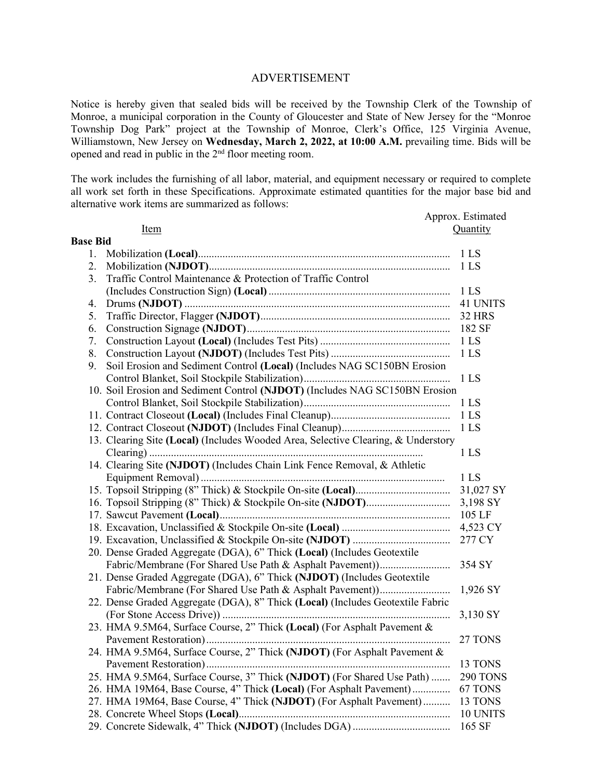## ADVERTISEMENT

Notice is hereby given that sealed bids will be received by the Township Clerk of the Township of Monroe, a municipal corporation in the County of Gloucester and State of New Jersey for the "Monroe Township Dog Park" project at the Township of Monroe, Clerk's Office, 125 Virginia Avenue, Williamstown, New Jersey on **Wednesday, March 2, 2022, at 10:00 A.M.** prevailing time. Bids will be opened and read in public in the 2<sup>nd</sup> floor meeting room.

The work includes the furnishing of all labor, material, and equipment necessary or required to complete all work set forth in these Specifications. Approximate estimated quantities for the major base bid and alternative work items are summarized as follows:

|                 |                                                                                   | Approx. Estimated |
|-----------------|-----------------------------------------------------------------------------------|-------------------|
|                 | Item                                                                              | Quantity          |
| <b>Base Bid</b> |                                                                                   |                   |
| 1.              |                                                                                   | 1 LS              |
| 2.              |                                                                                   | 1 <sub>LS</sub>   |
| 3.              | Traffic Control Maintenance & Protection of Traffic Control                       |                   |
|                 |                                                                                   | 1 LS              |
| 4.              |                                                                                   | 41 UNITS          |
| 5.              |                                                                                   | 32 HRS            |
| 6.              |                                                                                   |                   |
| 7.              |                                                                                   |                   |
| 8.              |                                                                                   | 1 <sub>LS</sub>   |
| 9.              | Soil Erosion and Sediment Control (Local) (Includes NAG SC150BN Erosion           |                   |
|                 |                                                                                   | 1 <sub>LS</sub>   |
|                 | 10. Soil Erosion and Sediment Control (NJDOT) (Includes NAG SC150BN Erosion       |                   |
|                 |                                                                                   | 1 <sub>LS</sub>   |
|                 |                                                                                   | 1 <sub>LS</sub>   |
|                 |                                                                                   | 1 <sub>LS</sub>   |
|                 | 13. Clearing Site (Local) (Includes Wooded Area, Selective Clearing, & Understory |                   |
|                 |                                                                                   | 1 <sub>LS</sub>   |
|                 | 14. Clearing Site (NJDOT) (Includes Chain Link Fence Removal, & Athletic          |                   |
|                 |                                                                                   | 1 <sub>LS</sub>   |
|                 |                                                                                   | 31,027 SY         |
|                 |                                                                                   | 3,198 SY          |
|                 |                                                                                   | 105 LF            |
|                 |                                                                                   | 4,523 CY          |
|                 |                                                                                   | 277 CY            |
|                 | 20. Dense Graded Aggregate (DGA), 6" Thick (Local) (Includes Geotextile           |                   |
|                 |                                                                                   | 354 SY            |
|                 | 21. Dense Graded Aggregate (DGA), 6" Thick (NJDOT) (Includes Geotextile           |                   |
|                 |                                                                                   | 1,926 SY          |
|                 | 22. Dense Graded Aggregate (DGA), 8" Thick (Local) (Includes Geotextile Fabric    |                   |
|                 |                                                                                   | 3,130 SY          |
|                 | 23. HMA 9.5M64, Surface Course, 2" Thick (Local) (For Asphalt Pavement &          |                   |
|                 |                                                                                   |                   |
|                 | 24. HMA 9.5M64, Surface Course, 2" Thick (NJDOT) (For Asphalt Pavement &          |                   |
|                 |                                                                                   | 13 TONS           |
|                 | 25. HMA 9.5M64, Surface Course, 3" Thick (NJDOT) (For Shared Use Path)            | 290 TONS          |
|                 | 26. HMA 19M64, Base Course, 4" Thick (Local) (For Asphalt Pavement)               | 67 TONS           |
|                 | 27. HMA 19M64, Base Course, 4" Thick (NJDOT) (For Asphalt Pavement)               | 13 TONS           |
|                 |                                                                                   | 10 UNITS          |
|                 |                                                                                   | 165 SF            |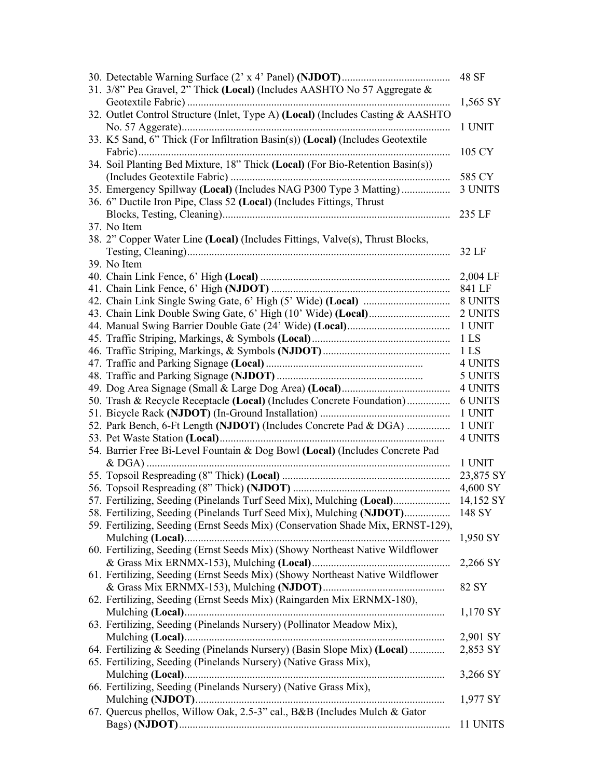|                                                                                 | 48 SF           |
|---------------------------------------------------------------------------------|-----------------|
| 31. 3/8" Pea Gravel, 2" Thick (Local) (Includes AASHTO No 57 Aggregate &        |                 |
|                                                                                 | 1,565 SY        |
| 32. Outlet Control Structure (Inlet, Type A) (Local) (Includes Casting & AASHTO |                 |
|                                                                                 | 1 UNIT          |
| 33. K5 Sand, 6" Thick (For Infiltration Basin(s)) (Local) (Includes Geotextile  |                 |
|                                                                                 | 105 CY          |
| 34. Soil Planting Bed Mixture, 18" Thick (Local) (For Bio-Retention Basin(s))   |                 |
|                                                                                 | 585 CY          |
| 35. Emergency Spillway (Local) (Includes NAG P300 Type 3 Matting)               | 3 UNITS         |
| 36. 6" Ductile Iron Pipe, Class 52 (Local) (Includes Fittings, Thrust           |                 |
|                                                                                 |                 |
|                                                                                 | 235 LF          |
| 37. No Item                                                                     |                 |
| 38. 2" Copper Water Line (Local) (Includes Fittings, Valve(s), Thrust Blocks,   |                 |
|                                                                                 | 32 LF           |
| 39. No Item                                                                     |                 |
|                                                                                 |                 |
|                                                                                 |                 |
|                                                                                 |                 |
|                                                                                 | 2 UNITS         |
|                                                                                 | 1 UNIT          |
|                                                                                 | 1 <sub>LS</sub> |
|                                                                                 | 1 <sub>LS</sub> |
|                                                                                 | 4 UNITS         |
|                                                                                 | 5 UNITS         |
|                                                                                 | 4 UNITS         |
| 50. Trash & Recycle Receptacle (Local) (Includes Concrete Foundation)           | 6 UNITS         |
|                                                                                 | 1 UNIT          |
| 52. Park Bench, 6-Ft Length (NJDOT) (Includes Concrete Pad & DGA)               | 1 UNIT          |
|                                                                                 | <b>4 UNITS</b>  |
| 54. Barrier Free Bi-Level Fountain & Dog Bowl (Local) (Includes Concrete Pad    |                 |
|                                                                                 | 1 UNIT          |
|                                                                                 | 23,875 SY       |
|                                                                                 | 4,600 SY        |
| 57. Fertilizing, Seeding (Pinelands Turf Seed Mix), Mulching (Local)            | 14,152 SY       |
| 58. Fertilizing, Seeding (Pinelands Turf Seed Mix), Mulching (NJDOT)            | 148 SY          |
|                                                                                 |                 |
| 59. Fertilizing, Seeding (Ernst Seeds Mix) (Conservation Shade Mix, ERNST-129), |                 |
|                                                                                 | 1,950 SY        |
| 60. Fertilizing, Seeding (Ernst Seeds Mix) (Showy Northeast Native Wildflower   |                 |
|                                                                                 | 2,266 SY        |
| 61. Fertilizing, Seeding (Ernst Seeds Mix) (Showy Northeast Native Wildflower   |                 |
|                                                                                 | 82 SY           |
| 62. Fertilizing, Seeding (Ernst Seeds Mix) (Raingarden Mix ERNMX-180),          |                 |
|                                                                                 | $1,170$ SY      |
| 63. Fertilizing, Seeding (Pinelands Nursery) (Pollinator Meadow Mix),           |                 |
|                                                                                 | 2,901 SY        |
| 64. Fertilizing & Seeding (Pinelands Nursery) (Basin Slope Mix) (Local)         | 2,853 SY        |
| 65. Fertilizing, Seeding (Pinelands Nursery) (Native Grass Mix),                |                 |
|                                                                                 | 3,266 SY        |
| 66. Fertilizing, Seeding (Pinelands Nursery) (Native Grass Mix),                |                 |
|                                                                                 | 1,977 SY        |
| 67. Quercus phellos, Willow Oak, 2.5-3" cal., B&B (Includes Mulch & Gator       |                 |
|                                                                                 | 11 UNITS        |
|                                                                                 |                 |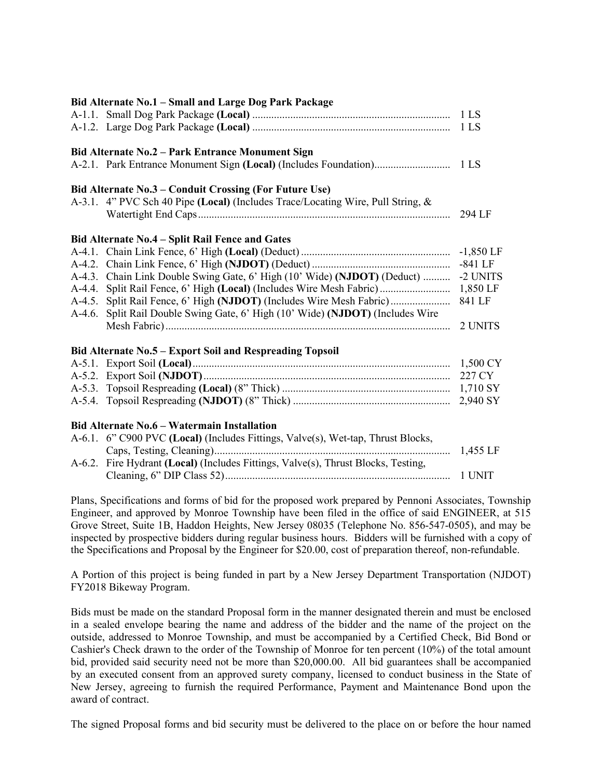| Bid Alternate No.1 - Small and Large Dog Park Package                            |             |
|----------------------------------------------------------------------------------|-------------|
|                                                                                  | 1 LS        |
|                                                                                  |             |
| Bid Alternate No.2 - Park Entrance Monument Sign                                 |             |
|                                                                                  |             |
| Bid Alternate No.3 – Conduit Crossing (For Future Use)                           |             |
| A-3.1. 4" PVC Sch 40 Pipe (Local) (Includes Trace/Locating Wire, Pull String, &  |             |
|                                                                                  |             |
| Bid Alternate No.4 - Split Rail Fence and Gates                                  |             |
|                                                                                  | $-1,850$ LF |
|                                                                                  | $-841$ LF   |
| A-4.3. Chain Link Double Swing Gate, 6' High (10' Wide) (NJDOT) (Deduct)         | -2 UNITS    |
| A-4.4. Split Rail Fence, 6' High (Local) (Includes Wire Mesh Fabric)             | 1,850 LF    |
|                                                                                  | 841 LF      |
| A-4.6. Split Rail Double Swing Gate, 6' High (10' Wide) (NJDOT) (Includes Wire   |             |
|                                                                                  | 2 UNITS     |
| Bid Alternate No.5 - Export Soil and Respreading Topsoil                         |             |
|                                                                                  |             |
|                                                                                  | 227 CY      |
|                                                                                  |             |
|                                                                                  | 2,940 SY    |
| <b>Bid Alternate No.6 - Watermain Installation</b>                               |             |
| A-6.1. 6" C900 PVC (Local) (Includes Fittings, Valve(s), Wet-tap, Thrust Blocks, |             |

## Caps, Testing, Cleaning) ....................................................................................... 1,455 LF A-6.2. Fire Hydrant **(Local)** (Includes Fittings, Valve(s), Thrust Blocks, Testing, Cleaning, 6" DIP Class 52) ................................................................................... 1 UNIT

Plans, Specifications and forms of bid for the proposed work prepared by Pennoni Associates, Township Engineer, and approved by Monroe Township have been filed in the office of said ENGINEER, at 515 Grove Street, Suite 1B, Haddon Heights, New Jersey 08035 (Telephone No. 856-547-0505), and may be inspected by prospective bidders during regular business hours. Bidders will be furnished with a copy of the Specifications and Proposal by the Engineer for \$20.00, cost of preparation thereof, non-refundable.

A Portion of this project is being funded in part by a New Jersey Department Transportation (NJDOT) FY2018 Bikeway Program.

Bids must be made on the standard Proposal form in the manner designated therein and must be enclosed in a sealed envelope bearing the name and address of the bidder and the name of the project on the outside, addressed to Monroe Township, and must be accompanied by a Certified Check, Bid Bond or Cashier's Check drawn to the order of the Township of Monroe for ten percent (10%) of the total amount bid, provided said security need not be more than \$20,000.00. All bid guarantees shall be accompanied by an executed consent from an approved surety company, licensed to conduct business in the State of New Jersey, agreeing to furnish the required Performance, Payment and Maintenance Bond upon the award of contract.

The signed Proposal forms and bid security must be delivered to the place on or before the hour named